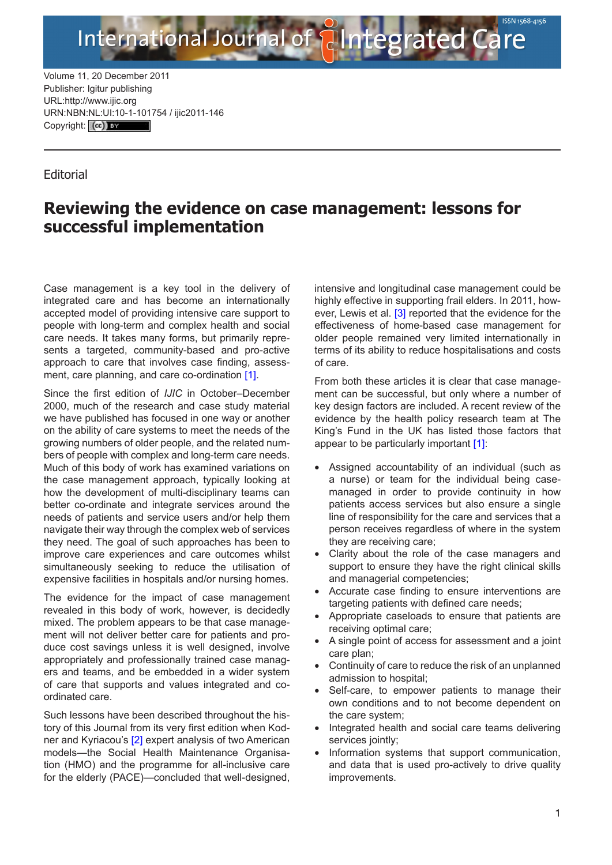Volume 11, 20 December 2011 Publisher: Igitur publishing URL:http://www.ijic.org URN:NBN[:NL:UI:10-1-1017](http://creativecommons.org/licenses/by/3.0/)54 / ijic2011-146 Copyright: (cc) Ex

## **Editorial**

## **Reviewing the evidence on case management: lessons for successful implementation**

International Journal of **Antegrated Care** 

Case management is a key tool in the delivery of integrated care and has become an internationally accepted model of providing intensive care support to people with long-term and complex health and social care needs. It takes many forms, but primarily represents a targeted, community-based and pro-active approach to care that involves case finding, assess-ment, care planning, and care co-ordination [[1\]](#page-1-0).

Since the first edition of *IJIC* in October–December 2000, much of the research and case study material we have published has focused in one way or another on the ability of care systems to meet the needs of the growing numbers of older people, and the related numbers of people with complex and long-term care needs. Much of this body of work has examined variations on the case management approach, typically looking at how the development of multi-disciplinary teams can better co-ordinate and integrate services around the needs of patients and service users and/or help them navigate their way through the complex web of services they need. The goal of such approaches has been to improve care experiences and care outcomes whilst simultaneously seeking to reduce the utilisation of expensive facilities in hospitals and/or nursing homes.

The evidence for the impact of case management revealed in this body of work, however, is decidedly mixed. The problem appears to be that case management will not deliver better care for patients and produce cost savings unless it is well designed, involve appropriately and professionally trained case managers and teams, and be embedded in a wider system of care that supports and values integrated and coordinated care.

Such lessons have been described throughout the history of this Journal from its very first edition when Kodner and Kyriacou's [[2](#page-1-0)] expert analysis of two American models—the Social Health Maintenance Organisation (HMO) and the programme for all-inclusive care for the elderly (PACE)—concluded that well-designed,

intensive and longitudinal case management could be highly effective in supporting frail elders. In 2011, however, Lewis et al. [[3](#page-1-0)] reported that the evidence for the effectiveness of home-based case management for older people remained very limited internationally in terms of its ability to reduce hospitalisations and costs of care.

From both these articles it is clear that case management can be successful, but only where a number of key design factors are included. A recent review of the evidence by the health policy research team at The King's Fund in the UK has listed those factors that appear to be particularly important [\[1\]](#page-1-0):

- Assigned accountability of an individual (such as a nurse) or team for the individual being casemanaged in order to provide continuity in how patients access services but also ensure a single line of responsibility for the care and services that a person receives regardless of where in the system they are receiving care;
- Clarity about the role of the case managers and support to ensure they have the right clinical skills and managerial competencies;
- Accurate case finding to ensure interventions are targeting patients with defined care needs;
- Appropriate caseloads to ensure that patients are receiving optimal care;
- A single point of access for assessment and a joint care plan;
- Continuity of care to reduce the risk of an unplanned admission to hospital;
- Self-care, to empower patients to manage their own conditions and to not become dependent on the care system;
- Integrated health and social care teams delivering services jointly;
- Information systems that support communication, and data that is used pro-actively to drive quality improvements.